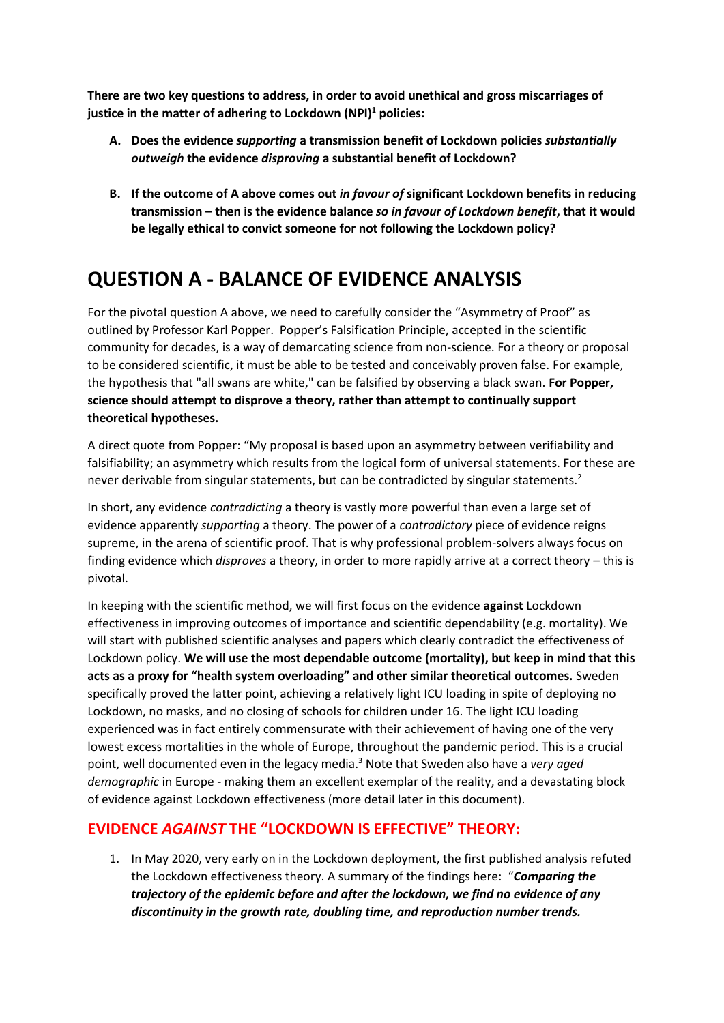**There are two key questions to address, in order to avoid unethical and gross miscarriages of justice in the matter of adhering to Lockdown (NPI)<sup>1</sup> policies:**

- **A. Does the evidence** *supporting* **a transmission benefit of Lockdown policies** *substantially outweigh* **the evidence** *disproving* **a substantial benefit of Lockdown?**
- **B. If the outcome of A above comes out** *in favour of* **significant Lockdown benefits in reducing transmission – then is the evidence balance** *so in favour of Lockdown benefit***, that it would be legally ethical to convict someone for not following the Lockdown policy?**

# **QUESTION A - BALANCE OF EVIDENCE ANALYSIS**

For the pivotal question A above, we need to carefully consider the "Asymmetry of Proof" as outlined by Professor Karl Popper. Popper's Falsification Principle, accepted in the scientific community for decades, is a way of demarcating science from non-science. For a theory or proposal to be considered scientific, it must be able to be tested and conceivably proven false. For example, the hypothesis that "all swans are white," can be falsified by observing a black swan. **For Popper, science should attempt to disprove a theory, rather than attempt to continually support theoretical hypotheses.**

A direct quote from Popper: "My proposal is based upon an asymmetry between verifiability and falsifiability; an asymmetry which results from the logical form of universal statements. For these are never derivable from singular statements, but can be contradicted by singular statements.<sup>2</sup>

In short, any evidence *contradicting* a theory is vastly more powerful than even a large set of evidence apparently *supporting* a theory. The power of a *contradictory* piece of evidence reigns supreme, in the arena of scientific proof. That is why professional problem-solvers always focus on finding evidence which *disproves* a theory, in order to more rapidly arrive at a correct theory – this is pivotal.

In keeping with the scientific method, we will first focus on the evidence **against** Lockdown effectiveness in improving outcomes of importance and scientific dependability (e.g. mortality). We will start with published scientific analyses and papers which clearly contradict the effectiveness of Lockdown policy. **We will use the most dependable outcome (mortality), but keep in mind that this acts as a proxy for "health system overloading" and other similar theoretical outcomes.** Sweden specifically proved the latter point, achieving a relatively light ICU loading in spite of deploying no Lockdown, no masks, and no closing of schools for children under 16. The light ICU loading experienced was in fact entirely commensurate with their achievement of having one of the very lowest excess mortalities in the whole of Europe, throughout the pandemic period. This is a crucial point, well documented even in the legacy media.<sup>3</sup> Note that Sweden also have a *very aged demographic* in Europe - making them an excellent exemplar of the reality, and a devastating block of evidence against Lockdown effectiveness (more detail later in this document).

#### **EVIDENCE** *AGAINST* **THE "LOCKDOWN IS EFFECTIVE" THEORY:**

1. In May 2020, very early on in the Lockdown deployment, the first published analysis refuted the Lockdown effectiveness theory. A summary of the findings here: "*Comparing the trajectory of the epidemic before and after the lockdown, we find no evidence of any discontinuity in the growth rate, doubling time, and reproduction number trends.*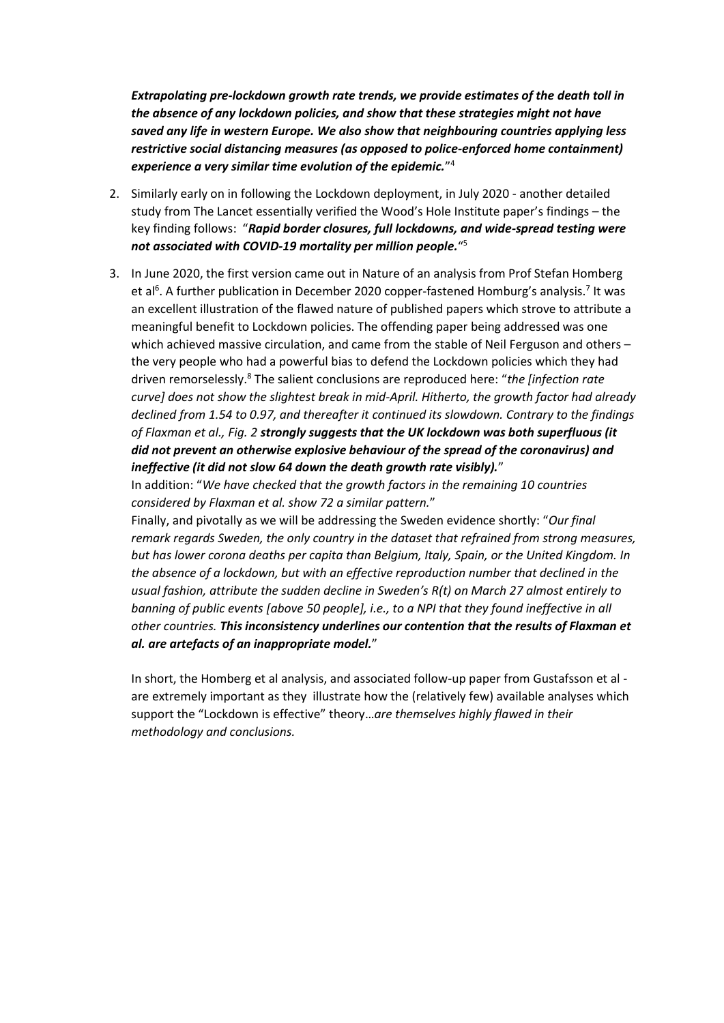*Extrapolating pre-lockdown growth rate trends, we provide estimates of the death toll in the absence of any lockdown policies, and show that these strategies might not have saved any life in western Europe. We also show that neighbouring countries applying less restrictive social distancing measures (as opposed to police-enforced home containment) experience a very similar time evolution of the epidemic.*" 4

- 2. Similarly early on in following the Lockdown deployment, in July 2020 another detailed study from The Lancet essentially verified the Wood's Hole Institute paper's findings – the key finding follows: "*Rapid border closures, full lockdowns, and wide-spread testing were not associated with COVID-19 mortality per million people.*" 5
- 3. In June 2020, the first version came out in Nature of an analysis from Prof Stefan Homberg et al<sup>6</sup>. A further publication in December 2020 copper-fastened Homburg's analysis.<sup>7</sup> It was an excellent illustration of the flawed nature of published papers which strove to attribute a meaningful benefit to Lockdown policies. The offending paper being addressed was one which achieved massive circulation, and came from the stable of Neil Ferguson and others – the very people who had a powerful bias to defend the Lockdown policies which they had driven remorselessly.<sup>8</sup> The salient conclusions are reproduced here: "*the [infection rate curve] does not show the slightest break in mid-April. Hitherto, the growth factor had already declined from 1.54 to 0.97, and thereafter it continued its slowdown. Contrary to the findings of Flaxman et al., Fig. 2 strongly suggests that the UK lockdown was both superfluous (it did not prevent an otherwise explosive behaviour of the spread of the coronavirus) and ineffective (it did not slow 64 down the death growth rate visibly).*"

In addition: "*We have checked that the growth factors in the remaining 10 countries considered by Flaxman et al. show 72 a similar pattern.*"

Finally, and pivotally as we will be addressing the Sweden evidence shortly: "*Our final remark regards Sweden, the only country in the dataset that refrained from strong measures, but has lower corona deaths per capita than Belgium, Italy, Spain, or the United Kingdom. In the absence of a lockdown, but with an effective reproduction number that declined in the usual fashion, attribute the sudden decline in Sweden's R(t) on March 27 almost entirely to banning of public events [above 50 people], i.e., to a NPI that they found ineffective in all other countries. This inconsistency underlines our contention that the results of Flaxman et al. are artefacts of an inappropriate model.*"

In short, the Homberg et al analysis, and associated follow-up paper from Gustafsson et al are extremely important as they illustrate how the (relatively few) available analyses which support the "Lockdown is effective" theory…*are themselves highly flawed in their methodology and conclusions.*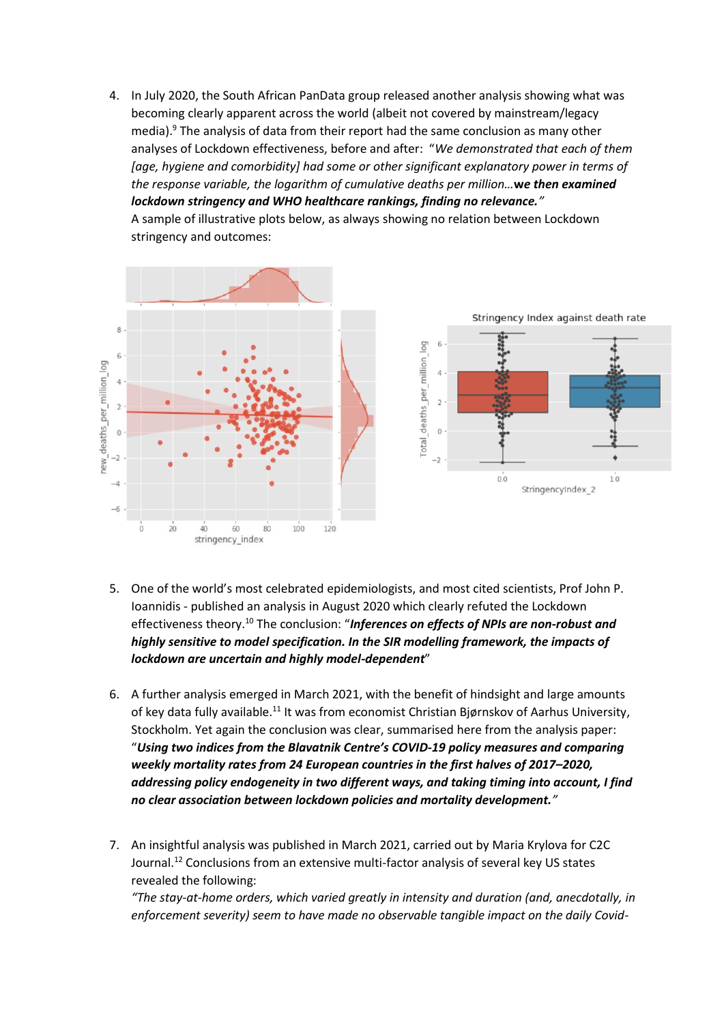4. In July 2020, the South African PanData group released another analysis showing what was becoming clearly apparent across the world (albeit not covered by mainstream/legacy media). <sup>9</sup> The analysis of data from their report had the same conclusion as many other analyses of Lockdown effectiveness, before and after: "*We demonstrated that each of them*  [age, hygiene and comorbidity] had some or other significant explanatory power in terms of *the response variable, the logarithm of cumulative deaths per million…***w***e then examined lockdown stringency and WHO healthcare rankings, finding no relevance."*

A sample of illustrative plots below, as always showing no relation between Lockdown stringency and outcomes:



- 5. One of the world's most celebrated epidemiologists, and most cited scientists, Prof John P. Ioannidis - published an analysis in August 2020 which clearly refuted the Lockdown effectiveness theory.<sup>10</sup> The conclusion: "*Inferences on effects of NPIs are non-robust and highly sensitive to model specification. In the SIR modelling framework, the impacts of lockdown are uncertain and highly model-dependent*"
- 6. A further analysis emerged in March 2021, with the benefit of hindsight and large amounts of key data fully available.<sup>11</sup> It was from economist Christian Bjørnskov of Aarhus University, Stockholm. Yet again the conclusion was clear, summarised here from the analysis paper: "*Using two indices from the Blavatnik Centre's COVID-19 policy measures and comparing weekly mortality rates from 24 European countries in the first halves of 2017–2020, addressing policy endogeneity in two different ways, and taking timing into account, I find no clear association between lockdown policies and mortality development."*
- 7. An insightful analysis was published in March 2021, carried out by Maria Krylova for C2C Journal.<sup>12</sup> Conclusions from an extensive multi-factor analysis of several key US states revealed the following:

*"The stay-at-home orders, which varied greatly in intensity and duration (and, anecdotally, in enforcement severity) seem to have made no observable tangible impact on the daily Covid-*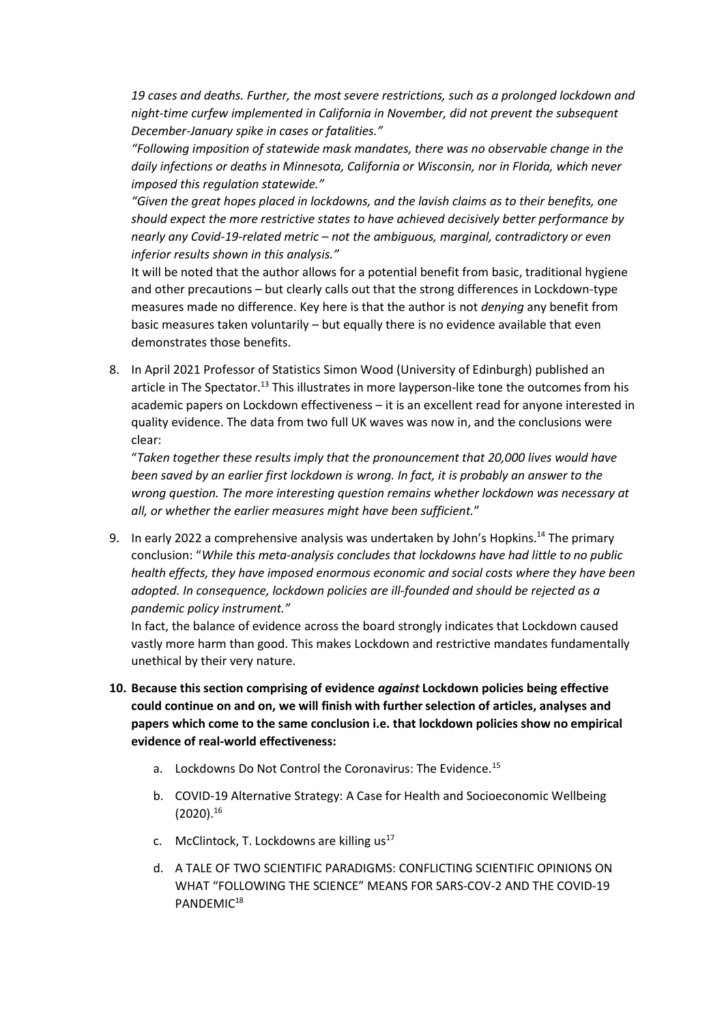*19 cases and deaths. Further, the most severe restrictions, such as a prolonged lockdown and night-time curfew implemented in California in November, did not prevent the subsequent December-January spike in cases or fatalities."*

*"Following imposition of statewide mask mandates, there was no observable change in the daily infections or deaths in Minnesota, California or Wisconsin, nor in Florida, which never imposed this regulation statewide."*

*"Given the great hopes placed in lockdowns, and the lavish claims as to their benefits, one should expect the more restrictive states to have achieved decisively better performance by nearly any Covid-19-related metric – not the ambiguous, marginal, contradictory or even inferior results shown in this analysis."*

It will be noted that the author allows for a potential benefit from basic, traditional hygiene and other precautions – but clearly calls out that the strong differences in Lockdown-type measures made no difference. Key here is that the author is not *denying* any benefit from basic measures taken voluntarily – but equally there is no evidence available that even demonstrates those benefits.

8. In April 2021 Professor of Statistics Simon Wood (University of Edinburgh) published an article in The Spectator.<sup>13</sup> This illustrates in more layperson-like tone the outcomes from his academic papers on Lockdown effectiveness – it is an excellent read for anyone interested in quality evidence. The data from two full UK waves was now in, and the conclusions were clear:

"*Taken together these results imply that the pronouncement that 20,000 lives would have been saved by an earlier first lockdown is wrong. In fact, it is probably an answer to the wrong question. The more interesting question remains whether lockdown was necessary at all, or whether the earlier measures might have been sufficient.*"

9. In early 2022 a comprehensive analysis was undertaken by John's Hopkins.<sup>14</sup> The primary conclusion: "*While this meta-analysis concludes that lockdowns have had little to no public health effects, they have imposed enormous economic and social costs where they have been adopted. In consequence, lockdown policies are ill-founded and should be rejected as a pandemic policy instrument."*

In fact, the balance of evidence across the board strongly indicates that Lockdown caused vastly more harm than good. This makes Lockdown and restrictive mandates fundamentally unethical by their very nature.

- **10. Because this section comprising of evidence** *against* **Lockdown policies being effective could continue on and on, we will finish with further selection of articles, analyses and papers which come to the same conclusion i.e. that lockdown policies show no empirical evidence of real-world effectiveness:**
	- a. Lockdowns Do Not Control the Coronavirus: The Evidence.<sup>15</sup>
	- b. COVID-19 Alternative Strategy: A Case for Health and Socioeconomic Wellbeing  $(2020).^{16}$
	- c. McClintock, T. Lockdowns are killing  $us^{17}$
	- d. A TALE OF TWO SCIENTIFIC PARADIGMS: CONFLICTING SCIENTIFIC OPINIONS ON WHAT "FOLLOWING THE SCIENCE" MEANS FOR SARS-COV-2 AND THE COVID-19 PANDEMIC18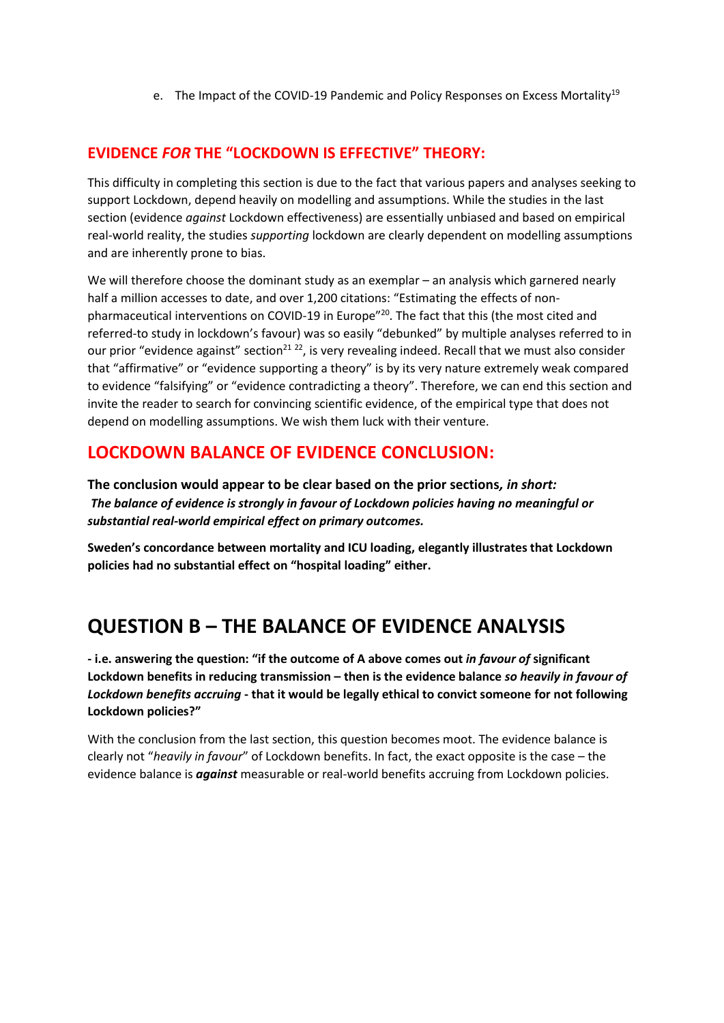e. The Impact of the COVID-19 Pandemic and Policy Responses on Excess Mortality<sup>19</sup>

#### **EVIDENCE** *FOR* **THE "LOCKDOWN IS EFFECTIVE" THEORY:**

This difficulty in completing this section is due to the fact that various papers and analyses seeking to support Lockdown, depend heavily on modelling and assumptions. While the studies in the last section (evidence *against* Lockdown effectiveness) are essentially unbiased and based on empirical real-world reality, the studies *supporting* lockdown are clearly dependent on modelling assumptions and are inherently prone to bias.

We will therefore choose the dominant study as an exemplar – an analysis which garnered nearly half a million accesses to date, and over 1,200 citations: "Estimating the effects of nonpharmaceutical interventions on COVID-19 in Europe<sup>"20</sup>. The fact that this (the most cited and referred-to study in lockdown's favour) was so easily "debunked" by multiple analyses referred to in our prior "evidence against" section<sup>21 22</sup>, is very revealing indeed. Recall that we must also consider that "affirmative" or "evidence supporting a theory" is by its very nature extremely weak compared to evidence "falsifying" or "evidence contradicting a theory". Therefore, we can end this section and invite the reader to search for convincing scientific evidence, of the empirical type that does not depend on modelling assumptions. We wish them luck with their venture.

### **LOCKDOWN BALANCE OF EVIDENCE CONCLUSION:**

**The conclusion would appear to be clear based on the prior sections***, in short: The balance of evidence is strongly in favour of Lockdown policies having no meaningful or substantial real-world empirical effect on primary outcomes.*

**Sweden's concordance between mortality and ICU loading, elegantly illustrates that Lockdown policies had no substantial effect on "hospital loading" either.**

## **QUESTION B – THE BALANCE OF EVIDENCE ANALYSIS**

**- i.e. answering the question: "if the outcome of A above comes out** *in favour of* **significant Lockdown benefits in reducing transmission – then is the evidence balance** *so heavily in favour of Lockdown benefits accruing* **- that it would be legally ethical to convict someone for not following Lockdown policies?"**

With the conclusion from the last section, this question becomes moot. The evidence balance is clearly not "*heavily in favour*" of Lockdown benefits. In fact, the exact opposite is the case – the evidence balance is *against* measurable or real-world benefits accruing from Lockdown policies.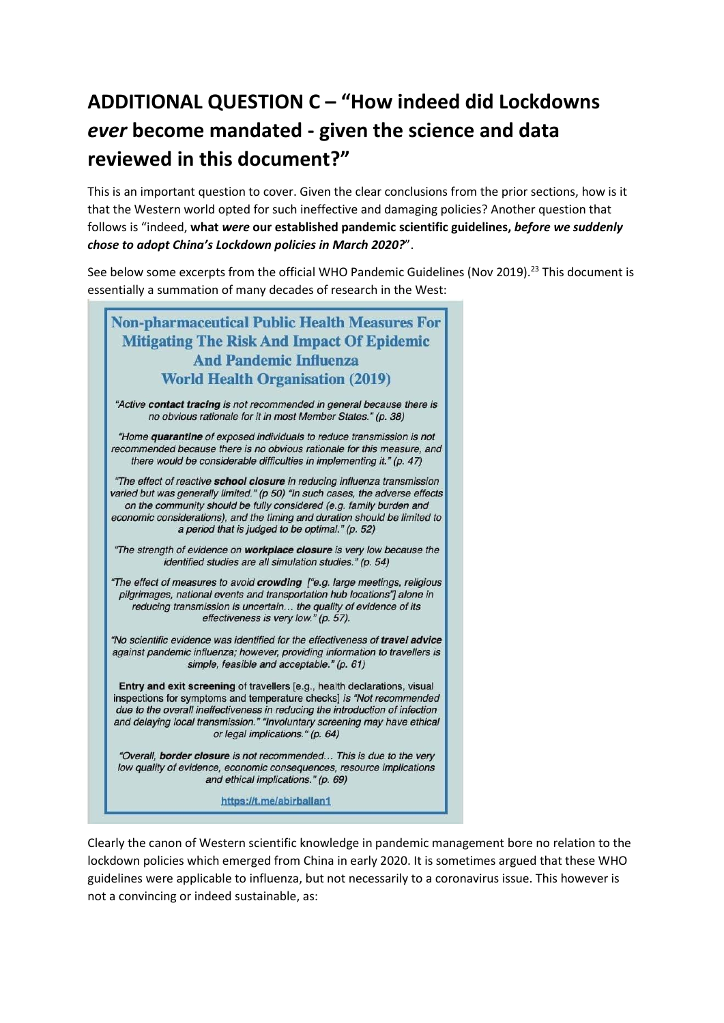# **ADDITIONAL QUESTION C – "How indeed did Lockdowns**  *ever* **become mandated - given the science and data reviewed in this document?"**

This is an important question to cover. Given the clear conclusions from the prior sections, how is it that the Western world opted for such ineffective and damaging policies? Another question that follows is "indeed, **what** *were* **our established pandemic scientific guidelines,** *before we suddenly chose to adopt China's Lockdown policies in March 2020?*".

See below some excerpts from the official WHO Pandemic Guidelines (Nov 2019).<sup>23</sup> This document is essentially a summation of many decades of research in the West:



Clearly the canon of Western scientific knowledge in pandemic management bore no relation to the lockdown policies which emerged from China in early 2020. It is sometimes argued that these WHO guidelines were applicable to influenza, but not necessarily to a coronavirus issue. This however is not a convincing or indeed sustainable, as: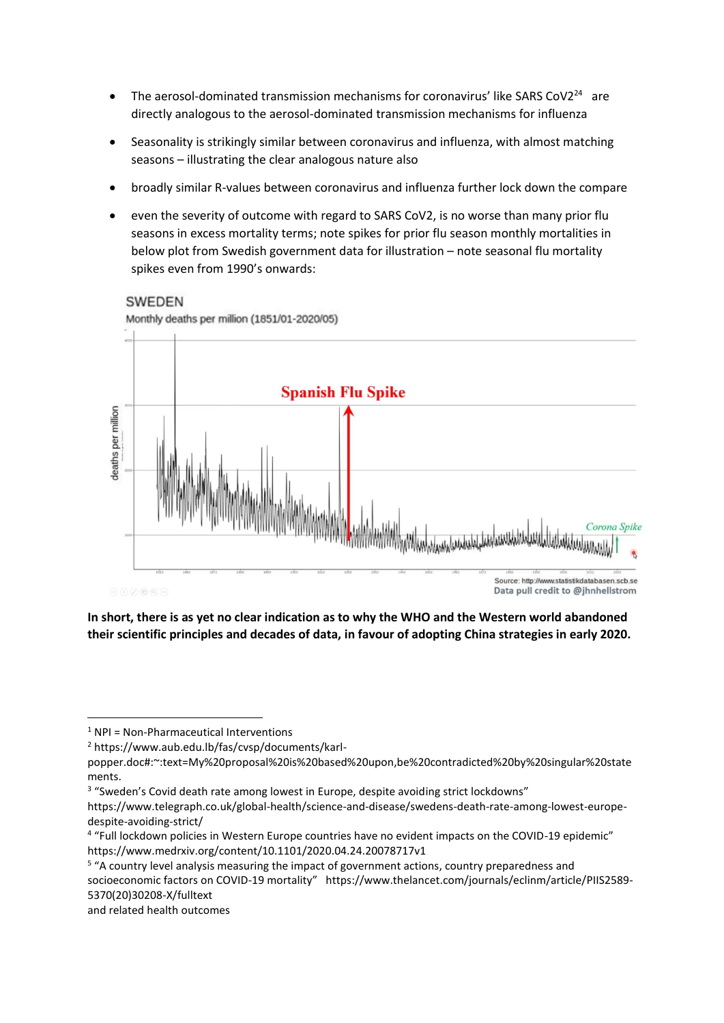- The aerosol-dominated transmission mechanisms for coronavirus' like SARS CoV2<sup>24</sup> are directly analogous to the aerosol-dominated transmission mechanisms for influenza
- Seasonality is strikingly similar between coronavirus and influenza, with almost matching seasons – illustrating the clear analogous nature also
- broadly similar R-values between coronavirus and influenza further lock down the compare
- even the severity of outcome with regard to SARS CoV2, is no worse than many prior flu seasons in excess mortality terms; note spikes for prior flu season monthly mortalities in below plot from Swedish government data for illustration – note seasonal flu mortality spikes even from 1990's onwards:

#### **SWEDEN**

Monthly deaths per million (1851/01-2020/05)



**In short, there is as yet no clear indication as to why the WHO and the Western world abandoned their scientific principles and decades of data, in favour of adopting China strategies in early 2020.**

 $1$  NPI = Non-Pharmaceutical Interventions

<sup>2</sup> https://www.aub.edu.lb/fas/cvsp/documents/karl-

popper.doc#:~:text=My%20proposal%20is%20based%20upon,be%20contradicted%20by%20singular%20state ments.

<sup>&</sup>lt;sup>3</sup> "Sweden's Covid death rate among lowest in Europe, despite avoiding strict lockdowns"

https://www.telegraph.co.uk/global-health/science-and-disease/swedens-death-rate-among-lowest-europedespite-avoiding-strict/

<sup>4</sup> "Full lockdown policies in Western Europe countries have no evident impacts on the COVID-19 epidemic" https://www.medrxiv.org/content/10.1101/2020.04.24.20078717v1

<sup>&</sup>lt;sup>5</sup> "A country level analysis measuring the impact of government actions, country preparedness and socioeconomic factors on COVID-19 mortality" https://www.thelancet.com/journals/eclinm/article/PIIS2589- 5370(20)30208-X/fulltext

and related health outcomes